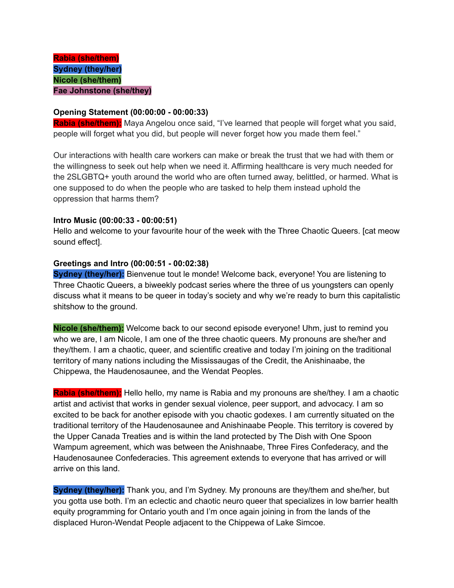### **Opening Statement (00:00:00 - 00:00:33)**

**Rabia (she/them):** Maya Angelou once said, "I've learned that people will forget what you said, people will forget what you did, but people will never forget how you made them feel."

Our interactions with health care workers can make or break the trust that we had with them or the willingness to seek out help when we need it. Affirming healthcare is very much needed for the 2SLGBTQ+ youth around the world who are often turned away, belittled, or harmed. What is one supposed to do when the people who are tasked to help them instead uphold the oppression that harms them?

## **Intro Music (00:00:33 - 00:00:51)**

Hello and welcome to your favourite hour of the week with the Three Chaotic Queers. [cat meow sound effect].

## **Greetings and Intro (00:00:51 - 00:02:38)**

**Sydney (they/her):** Bienvenue tout le monde! Welcome back, everyone! You are listening to Three Chaotic Queers, a biweekly podcast series where the three of us youngsters can openly discuss what it means to be queer in today's society and why we're ready to burn this capitalistic shitshow to the ground.

**Nicole (she/them):** Welcome back to our second episode everyone! Uhm, just to remind you who we are, I am Nicole, I am one of the three chaotic queers. My pronouns are she/her and they/them. I am a chaotic, queer, and scientific creative and today I'm joining on the traditional territory of many nations including the Mississaugas of the Credit, the Anishinaabe, the Chippewa, the Haudenosaunee, and the Wendat Peoples.

**Rabia (she/them):** Hello hello, my name is Rabia and my pronouns are she/they. I am a chaotic artist and activist that works in gender sexual violence, peer support, and advocacy. I am so excited to be back for another episode with you chaotic godexes. I am currently situated on the traditional territory of the Haudenosaunee and Anishinaabe People. This territory is covered by the Upper Canada Treaties and is within the land protected by The Dish with One Spoon Wampum agreement, which was between the Anishnaabe, Three Fires Confederacy, and the Haudenosaunee Confederacies. This agreement extends to everyone that has arrived or will arrive on this land.

**Sydney (they/her):** Thank you, and I'm Sydney. My pronouns are they/them and she/her, but you gotta use both. I'm an eclectic and chaotic neuro queer that specializes in low barrier health equity programming for Ontario youth and I'm once again joining in from the lands of the displaced Huron-Wendat People adjacent to the Chippewa of Lake Simcoe.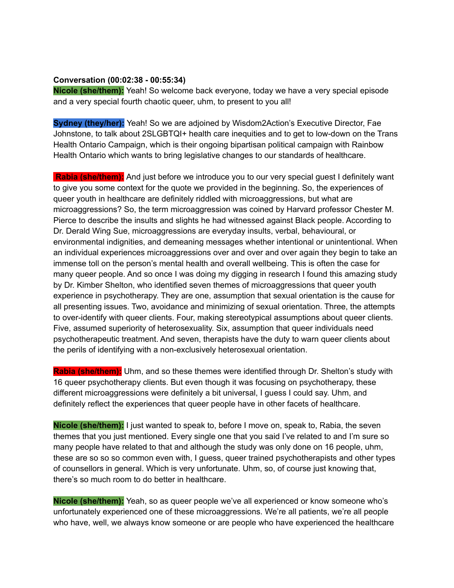#### **Conversation (00:02:38 - 00:55:34)**

**Nicole (she/them):** Yeah! So welcome back everyone, today we have a very special episode and a very special fourth chaotic queer, uhm, to present to you all!

**Sydney (they/her):** Yeah! So we are adjoined by Wisdom2Action's Executive Director, Fae Johnstone, to talk about 2SLGBTQI+ health care inequities and to get to low-down on the Trans Health Ontario Campaign, which is their ongoing bipartisan political campaign with Rainbow Health Ontario which wants to bring legislative changes to our standards of healthcare.

**Rabia (she/them):** And just before we introduce you to our very special guest I definitely want to give you some context for the quote we provided in the beginning. So, the experiences of queer youth in healthcare are definitely riddled with microaggressions, but what are microaggressions? So, the term microaggression was coined by Harvard professor Chester M. Pierce to describe the insults and slights he had witnessed against Black people. According to Dr. Derald Wing Sue, microaggressions are everyday insults, verbal, behavioural, or environmental indignities, and demeaning messages whether intentional or unintentional. When an individual experiences microaggressions over and over and over again they begin to take an immense toll on the person's mental health and overall wellbeing. This is often the case for many queer people. And so once I was doing my digging in research I found this amazing study by Dr. Kimber Shelton, who identified seven themes of microaggressions that queer youth experience in psychotherapy. They are one, assumption that sexual orientation is the cause for all presenting issues. Two, avoidance and minimizing of sexual orientation. Three, the attempts to over-identify with queer clients. Four, making stereotypical assumptions about queer clients. Five, assumed superiority of heterosexuality. Six, assumption that queer individuals need psychotherapeutic treatment. And seven, therapists have the duty to warn queer clients about the perils of identifying with a non-exclusively heterosexual orientation.

**Rabia (she/them):** Uhm, and so these themes were identified through Dr. Shelton's study with 16 queer psychotherapy clients. But even though it was focusing on psychotherapy, these different microaggressions were definitely a bit universal, I guess I could say. Uhm, and definitely reflect the experiences that queer people have in other facets of healthcare.

**Nicole (she/them):** I just wanted to speak to, before I move on, speak to, Rabia, the seven themes that you just mentioned. Every single one that you said I've related to and I'm sure so many people have related to that and although the study was only done on 16 people, uhm, these are so so so common even with, I guess, queer trained psychotherapists and other types of counsellors in general. Which is very unfortunate. Uhm, so, of course just knowing that, there's so much room to do better in healthcare.

**Nicole (she/them):** Yeah, so as queer people we've all experienced or know someone who's unfortunately experienced one of these microaggressions. We're all patients, we're all people who have, well, we always know someone or are people who have experienced the healthcare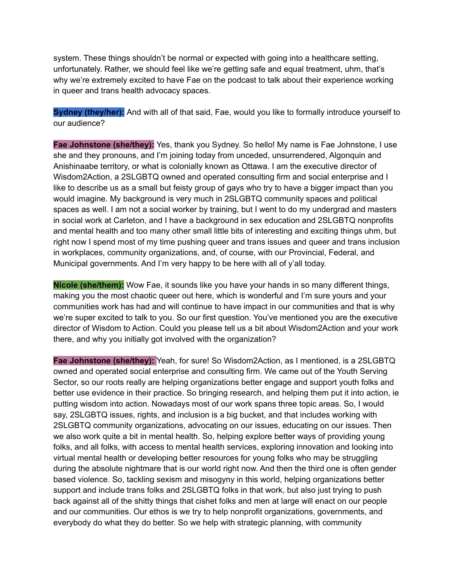system. These things shouldn't be normal or expected with going into a healthcare setting, unfortunately. Rather, we should feel like we're getting safe and equal treatment, uhm, that's why we're extremely excited to have Fae on the podcast to talk about their experience working in queer and trans health advocacy spaces.

**Sydney (they/her):** And with all of that said, Fae, would you like to formally introduce yourself to our audience?

**Fae Johnstone (she/they):** Yes, thank you Sydney. So hello! My name is Fae Johnstone, I use she and they pronouns, and I'm joining today from unceded, unsurrendered, Algonquin and Anishinaabe territory, or what is colonially known as Ottawa. I am the executive director of Wisdom2Action, a 2SLGBTQ owned and operated consulting firm and social enterprise and I like to describe us as a small but feisty group of gays who try to have a bigger impact than you would imagine. My background is very much in 2SLGBTQ community spaces and political spaces as well. I am not a social worker by training, but I went to do my undergrad and masters in social work at Carleton, and I have a background in sex education and 2SLGBTQ nonprofits and mental health and too many other small little bits of interesting and exciting things uhm, but right now I spend most of my time pushing queer and trans issues and queer and trans inclusion in workplaces, community organizations, and, of course, with our Provincial, Federal, and Municipal governments. And I'm very happy to be here with all of y'all today.

**Nicole (she/them):** Wow Fae, it sounds like you have your hands in so many different things, making you the most chaotic queer out here, which is wonderful and I'm sure yours and your communities work has had and will continue to have impact in our communities and that is why we're super excited to talk to you. So our first question. You've mentioned you are the executive director of Wisdom to Action. Could you please tell us a bit about Wisdom2Action and your work there, and why you initially got involved with the organization?

**Fae Johnstone (she/they):** Yeah, for sure! So Wisdom2Action, as I mentioned, is a 2SLGBTQ owned and operated social enterprise and consulting firm. We came out of the Youth Serving Sector, so our roots really are helping organizations better engage and support youth folks and better use evidence in their practice. So bringing research, and helping them put it into action, ie putting wisdom into action. Nowadays most of our work spans three topic areas. So, I would say, 2SLGBTQ issues, rights, and inclusion is a big bucket, and that includes working with 2SLGBTQ community organizations, advocating on our issues, educating on our issues. Then we also work quite a bit in mental health. So, helping explore better ways of providing young folks, and all folks, with access to mental health services, exploring innovation and looking into virtual mental health or developing better resources for young folks who may be struggling during the absolute nightmare that is our world right now. And then the third one is often gender based violence. So, tackling sexism and misogyny in this world, helping organizations better support and include trans folks and 2SLGBTQ folks in that work, but also just trying to push back against all of the shitty things that cishet folks and men at large will enact on our people and our communities. Our ethos is we try to help nonprofit organizations, governments, and everybody do what they do better. So we help with strategic planning, with community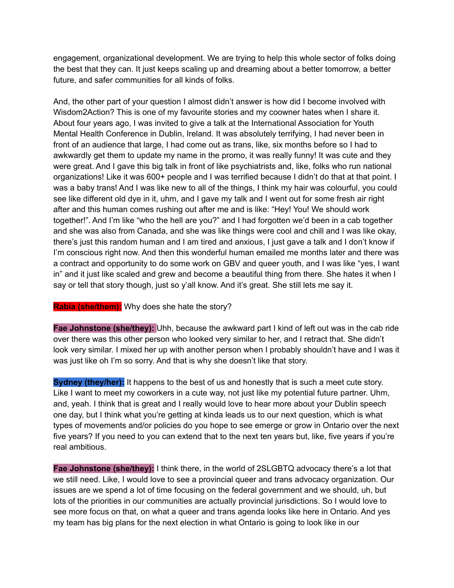engagement, organizational development. We are trying to help this whole sector of folks doing the best that they can. It just keeps scaling up and dreaming about a better tomorrow, a better future, and safer communities for all kinds of folks.

And, the other part of your question I almost didn't answer is how did I become involved with Wisdom2Action? This is one of my favourite stories and my coowner hates when I share it. About four years ago, I was invited to give a talk at the International Association for Youth Mental Health Conference in Dublin, Ireland. It was absolutely terrifying, I had never been in front of an audience that large, I had come out as trans, like, six months before so I had to awkwardly get them to update my name in the promo, it was really funny! It was cute and they were great. And I gave this big talk in front of like psychiatrists and, like, folks who run national organizations! Like it was 600+ people and I was terrified because I didn't do that at that point. I was a baby trans! And I was like new to all of the things, I think my hair was colourful, you could see like different old dye in it, uhm, and I gave my talk and I went out for some fresh air right after and this human comes rushing out after me and is like: "Hey! You! We should work together!". And I'm like "who the hell are you?" and I had forgotten we'd been in a cab together and she was also from Canada, and she was like things were cool and chill and I was like okay, there's just this random human and I am tired and anxious, I just gave a talk and I don't know if I'm conscious right now. And then this wonderful human emailed me months later and there was a contract and opportunity to do some work on GBV and queer youth, and I was like "yes, I want in" and it just like scaled and grew and become a beautiful thing from there. She hates it when I say or tell that story though, just so y'all know. And it's great. She still lets me say it.

# **Rabia (she/them):** Why does she hate the story?

**Fae Johnstone (she/they):** Uhh, because the awkward part I kind of left out was in the cab ride over there was this other person who looked very similar to her, and I retract that. She didn't look very similar. I mixed her up with another person when I probably shouldn't have and I was it was just like oh I'm so sorry. And that is why she doesn't like that story.

**Sydney (they/her):** It happens to the best of us and honestly that is such a meet cute story. Like I want to meet my coworkers in a cute way, not just like my potential future partner. Uhm, and, yeah. I think that is great and I really would love to hear more about your Dublin speech one day, but I think what you're getting at kinda leads us to our next question, which is what types of movements and/or policies do you hope to see emerge or grow in Ontario over the next five years? If you need to you can extend that to the next ten years but, like, five years if you're real ambitious.

**Fae Johnstone (she/they):** I think there, in the world of 2SLGBTQ advocacy there's a lot that we still need. Like, I would love to see a provincial queer and trans advocacy organization. Our issues are we spend a lot of time focusing on the federal government and we should, uh, but lots of the priorities in our communities are actually provincial jurisdictions. So I would love to see more focus on that, on what a queer and trans agenda looks like here in Ontario. And yes my team has big plans for the next election in what Ontario is going to look like in our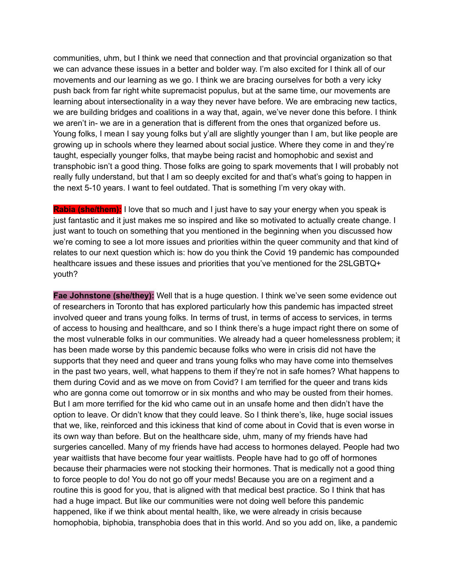communities, uhm, but I think we need that connection and that provincial organization so that we can advance these issues in a better and bolder way. I'm also excited for I think all of our movements and our learning as we go. I think we are bracing ourselves for both a very icky push back from far right white supremacist populus, but at the same time, our movements are learning about intersectionality in a way they never have before. We are embracing new tactics, we are building bridges and coalitions in a way that, again, we've never done this before. I think we aren't in- we are in a generation that is different from the ones that organized before us. Young folks, I mean I say young folks but y'all are slightly younger than I am, but like people are growing up in schools where they learned about social justice. Where they come in and they're taught, especially younger folks, that maybe being racist and homophobic and sexist and transphobic isn't a good thing. Those folks are going to spark movements that I will probably not really fully understand, but that I am so deeply excited for and that's what's going to happen in the next 5-10 years. I want to feel outdated. That is something I'm very okay with.

**Rabia (she/them):** I love that so much and I just have to say your energy when you speak is just fantastic and it just makes me so inspired and like so motivated to actually create change. I just want to touch on something that you mentioned in the beginning when you discussed how we're coming to see a lot more issues and priorities within the queer community and that kind of relates to our next question which is: how do you think the Covid 19 pandemic has compounded healthcare issues and these issues and priorities that you've mentioned for the 2SLGBTQ+ youth?

**Fae Johnstone (she/they):** Well that is a huge question. I think we've seen some evidence out of researchers in Toronto that has explored particularly how this pandemic has impacted street involved queer and trans young folks. In terms of trust, in terms of access to services, in terms of access to housing and healthcare, and so I think there's a huge impact right there on some of the most vulnerable folks in our communities. We already had a queer homelessness problem; it has been made worse by this pandemic because folks who were in crisis did not have the supports that they need and queer and trans young folks who may have come into themselves in the past two years, well, what happens to them if they're not in safe homes? What happens to them during Covid and as we move on from Covid? I am terrified for the queer and trans kids who are gonna come out tomorrow or in six months and who may be ousted from their homes. But I am more terrified for the kid who came out in an unsafe home and then didn't have the option to leave. Or didn't know that they could leave. So I think there's, like, huge social issues that we, like, reinforced and this ickiness that kind of come about in Covid that is even worse in its own way than before. But on the healthcare side, uhm, many of my friends have had surgeries cancelled. Many of my friends have had access to hormones delayed. People had two year waitlists that have become four year waitlists. People have had to go off of hormones because their pharmacies were not stocking their hormones. That is medically not a good thing to force people to do! You do not go off your meds! Because you are on a regiment and a routine this is good for you, that is aligned with that medical best practice. So I think that has had a huge impact. But like our communities were not doing well before this pandemic happened, like if we think about mental health, like, we were already in crisis because homophobia, biphobia, transphobia does that in this world. And so you add on, like, a pandemic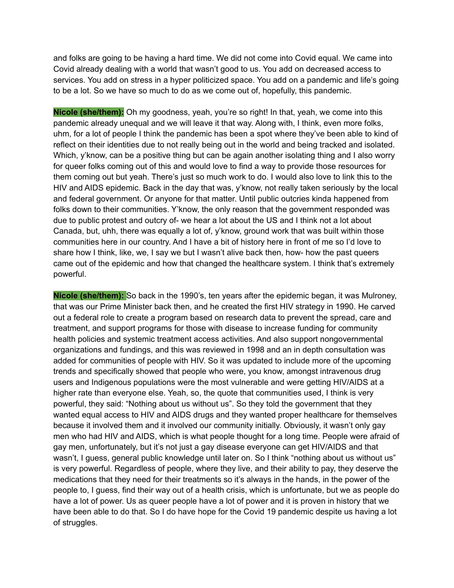and folks are going to be having a hard time. We did not come into Covid equal. We came into Covid already dealing with a world that wasn't good to us. You add on decreased access to services. You add on stress in a hyper politicized space. You add on a pandemic and life's going to be a lot. So we have so much to do as we come out of, hopefully, this pandemic.

**Nicole (she/them):** Oh my goodness, yeah, you're so right! In that, yeah, we come into this pandemic already unequal and we will leave it that way. Along with, I think, even more folks, uhm, for a lot of people I think the pandemic has been a spot where they've been able to kind of reflect on their identities due to not really being out in the world and being tracked and isolated. Which, y'know, can be a positive thing but can be again another isolating thing and I also worry for queer folks coming out of this and would love to find a way to provide those resources for them coming out but yeah. There's just so much work to do. I would also love to link this to the HIV and AIDS epidemic. Back in the day that was, y'know, not really taken seriously by the local and federal government. Or anyone for that matter. Until public outcries kinda happened from folks down to their communities. Y'know, the only reason that the government responded was due to public protest and outcry of- we hear a lot about the US and I think not a lot about Canada, but, uhh, there was equally a lot of, y'know, ground work that was built within those communities here in our country. And I have a bit of history here in front of me so I'd love to share how I think, like, we, I say we but I wasn't alive back then, how- how the past queers came out of the epidemic and how that changed the healthcare system. I think that's extremely powerful.

**Nicole (she/them):** So back in the 1990's, ten years after the epidemic began, it was Mulroney, that was our Prime Minister back then, and he created the first HIV strategy in 1990. He carved out a federal role to create a program based on research data to prevent the spread, care and treatment, and support programs for those with disease to increase funding for community health policies and systemic treatment access activities. And also support nongovernmental organizations and fundings, and this was reviewed in 1998 and an in depth consultation was added for communities of people with HIV. So it was updated to include more of the upcoming trends and specifically showed that people who were, you know, amongst intravenous drug users and Indigenous populations were the most vulnerable and were getting HIV/AIDS at a higher rate than everyone else. Yeah, so, the quote that communities used, I think is very powerful, they said: "Nothing about us without us". So they told the government that they wanted equal access to HIV and AIDS drugs and they wanted proper healthcare for themselves because it involved them and it involved our community initially. Obviously, it wasn't only gay men who had HIV and AIDS, which is what people thought for a long time. People were afraid of gay men, unfortunately, but it's not just a gay disease everyone can get HIV/AIDS and that wasn't, I guess, general public knowledge until later on. So I think "nothing about us without us" is very powerful. Regardless of people, where they live, and their ability to pay, they deserve the medications that they need for their treatments so it's always in the hands, in the power of the people to, I guess, find their way out of a health crisis, which is unfortunate, but we as people do have a lot of power. Us as queer people have a lot of power and it is proven in history that we have been able to do that. So I do have hope for the Covid 19 pandemic despite us having a lot of struggles.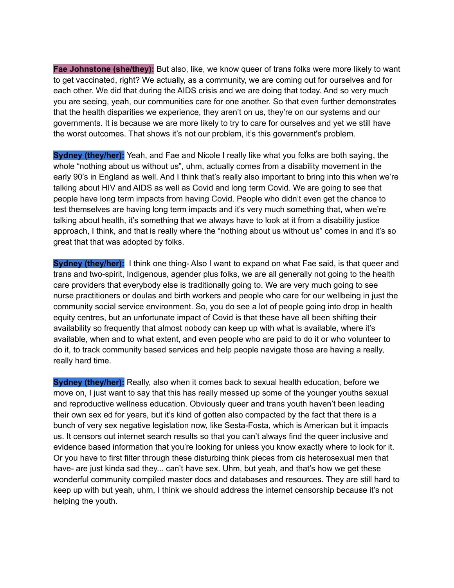**Fae Johnstone (she/they):** But also, like, we know queer of trans folks were more likely to want to get vaccinated, right? We actually, as a community, we are coming out for ourselves and for each other. We did that during the AIDS crisis and we are doing that today. And so very much you are seeing, yeah, our communities care for one another. So that even further demonstrates that the health disparities we experience, they aren't on us, they're on our systems and our governments. It is because we are more likely to try to care for ourselves and yet we still have the worst outcomes. That shows it's not our problem, it's this government's problem.

**Sydney (they/her):** Yeah, and Fae and Nicole I really like what you folks are both saying, the whole "nothing about us without us", uhm, actually comes from a disability movement in the early 90's in England as well. And I think that's really also important to bring into this when we're talking about HIV and AIDS as well as Covid and long term Covid. We are going to see that people have long term impacts from having Covid. People who didn't even get the chance to test themselves are having long term impacts and it's very much something that, when we're talking about health, it's something that we always have to look at it from a disability justice approach, I think, and that is really where the "nothing about us without us" comes in and it's so great that that was adopted by folks.

**Sydney (they/her):** I think one thing- Also I want to expand on what Fae said, is that queer and trans and two-spirit, Indigenous, agender plus folks, we are all generally not going to the health care providers that everybody else is traditionally going to. We are very much going to see nurse practitioners or doulas and birth workers and people who care for our wellbeing in just the community social service environment. So, you do see a lot of people going into drop in health equity centres, but an unfortunate impact of Covid is that these have all been shifting their availability so frequently that almost nobody can keep up with what is available, where it's available, when and to what extent, and even people who are paid to do it or who volunteer to do it, to track community based services and help people navigate those are having a really, really hard time.

**Sydney (they/her):** Really, also when it comes back to sexual health education, before we move on, I just want to say that this has really messed up some of the younger youths sexual and reproductive wellness education. Obviously queer and trans youth haven't been leading their own sex ed for years, but it's kind of gotten also compacted by the fact that there is a bunch of very sex negative legislation now, like Sesta-Fosta, which is American but it impacts us. It censors out internet search results so that you can't always find the queer inclusive and evidence based information that you're looking for unless you know exactly where to look for it. Or you have to first filter through these disturbing think pieces from cis heterosexual men that have- are just kinda sad they... can't have sex. Uhm, but yeah, and that's how we get these wonderful community compiled master docs and databases and resources. They are still hard to keep up with but yeah, uhm, I think we should address the internet censorship because it's not helping the youth.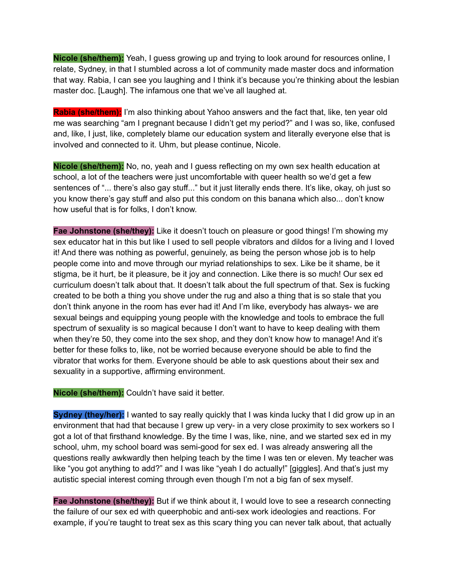**Nicole (she/them):** Yeah, I guess growing up and trying to look around for resources online, I relate, Sydney, in that I stumbled across a lot of community made master docs and information that way. Rabia, I can see you laughing and I think it's because you're thinking about the lesbian master doc. [Laugh]. The infamous one that we've all laughed at.

**Rabia (she/them):** I'm also thinking about Yahoo answers and the fact that, like, ten year old me was searching "am I pregnant because I didn't get my period?" and I was so, like, confused and, like, I just, like, completely blame our education system and literally everyone else that is involved and connected to it. Uhm, but please continue, Nicole.

**Nicole (she/them):** No, no, yeah and I guess reflecting on my own sex health education at school, a lot of the teachers were just uncomfortable with queer health so we'd get a few sentences of "... there's also gay stuff..." but it just literally ends there. It's like, okay, oh just so you know there's gay stuff and also put this condom on this banana which also... don't know how useful that is for folks, I don't know.

**Fae Johnstone (she/they):** Like it doesn't touch on pleasure or good things! I'm showing my sex educator hat in this but like I used to sell people vibrators and dildos for a living and I loved it! And there was nothing as powerful, genuinely, as being the person whose job is to help people come into and move through our myriad relationships to sex. Like be it shame, be it stigma, be it hurt, be it pleasure, be it joy and connection. Like there is so much! Our sex ed curriculum doesn't talk about that. It doesn't talk about the full spectrum of that. Sex is fucking created to be both a thing you shove under the rug and also a thing that is so stale that you don't think anyone in the room has ever had it! And I'm like, everybody has always- we are sexual beings and equipping young people with the knowledge and tools to embrace the full spectrum of sexuality is so magical because I don't want to have to keep dealing with them when they're 50, they come into the sex shop, and they don't know how to manage! And it's better for these folks to, like, not be worried because everyone should be able to find the vibrator that works for them. Everyone should be able to ask questions about their sex and sexuality in a supportive, affirming environment.

**Nicole (she/them):** Couldn't have said it better.

**Sydney (they/her):** I wanted to say really quickly that I was kinda lucky that I did grow up in an environment that had that because I grew up very- in a very close proximity to sex workers so I got a lot of that firsthand knowledge. By the time I was, like, nine, and we started sex ed in my school, uhm, my school board was semi-good for sex ed. I was already answering all the questions really awkwardly then helping teach by the time I was ten or eleven. My teacher was like "you got anything to add?" and I was like "yeah I do actually!" [giggles]. And that's just my autistic special interest coming through even though I'm not a big fan of sex myself.

**Fae Johnstone (she/they):** But if we think about it, I would love to see a research connecting the failure of our sex ed with queerphobic and anti-sex work ideologies and reactions. For example, if you're taught to treat sex as this scary thing you can never talk about, that actually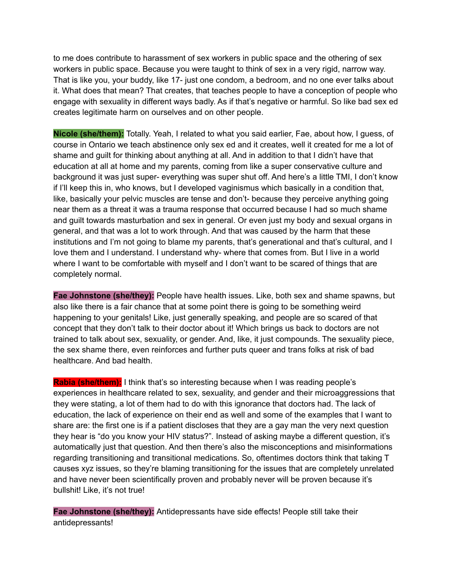to me does contribute to harassment of sex workers in public space and the othering of sex workers in public space. Because you were taught to think of sex in a very rigid, narrow way. That is like you, your buddy, like 17- just one condom, a bedroom, and no one ever talks about it. What does that mean? That creates, that teaches people to have a conception of people who engage with sexuality in different ways badly. As if that's negative or harmful. So like bad sex ed creates legitimate harm on ourselves and on other people.

**Nicole (she/them):** Totally. Yeah, I related to what you said earlier, Fae, about how, I guess, of course in Ontario we teach abstinence only sex ed and it creates, well it created for me a lot of shame and guilt for thinking about anything at all. And in addition to that I didn't have that education at all at home and my parents, coming from like a super conservative culture and background it was just super- everything was super shut off. And here's a little TMI, I don't know if I'll keep this in, who knows, but I developed vaginismus which basically in a condition that, like, basically your pelvic muscles are tense and don't- because they perceive anything going near them as a threat it was a trauma response that occurred because I had so much shame and guilt towards masturbation and sex in general. Or even just my body and sexual organs in general, and that was a lot to work through. And that was caused by the harm that these institutions and I'm not going to blame my parents, that's generational and that's cultural, and I love them and I understand. I understand why- where that comes from. But I live in a world where I want to be comfortable with myself and I don't want to be scared of things that are completely normal.

**Fae Johnstone (she/they):** People have health issues. Like, both sex and shame spawns, but also like there is a fair chance that at some point there is going to be something weird happening to your genitals! Like, just generally speaking, and people are so scared of that concept that they don't talk to their doctor about it! Which brings us back to doctors are not trained to talk about sex, sexuality, or gender. And, like, it just compounds. The sexuality piece, the sex shame there, even reinforces and further puts queer and trans folks at risk of bad healthcare. And bad health.

**Rabia (she/them):** I think that's so interesting because when I was reading people's experiences in healthcare related to sex, sexuality, and gender and their microaggressions that they were stating, a lot of them had to do with this ignorance that doctors had. The lack of education, the lack of experience on their end as well and some of the examples that I want to share are: the first one is if a patient discloses that they are a gay man the very next question they hear is "do you know your HIV status?". Instead of asking maybe a different question, it's automatically just that question. And then there's also the misconceptions and misinformations regarding transitioning and transitional medications. So, oftentimes doctors think that taking T causes xyz issues, so they're blaming transitioning for the issues that are completely unrelated and have never been scientifically proven and probably never will be proven because it's bullshit! Like, it's not true!

**Fae Johnstone (she/they):** Antidepressants have side effects! People still take their antidepressants!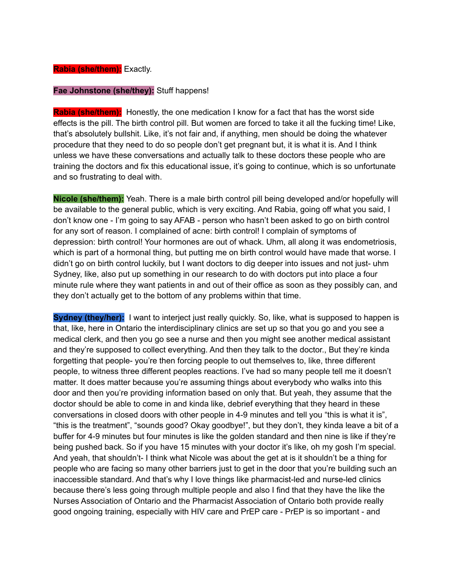#### **Rabia (she/them):** Exactly.

### **Fae Johnstone (she/they):** Stuff happens!

**Rabia (she/them):** Honestly, the one medication I know for a fact that has the worst side effects is the pill. The birth control pill. But women are forced to take it all the fucking time! Like, that's absolutely bullshit. Like, it's not fair and, if anything, men should be doing the whatever procedure that they need to do so people don't get pregnant but, it is what it is. And I think unless we have these conversations and actually talk to these doctors these people who are training the doctors and fix this educational issue, it's going to continue, which is so unfortunate and so frustrating to deal with.

**Nicole (she/them):** Yeah. There is a male birth control pill being developed and/or hopefully will be available to the general public, which is very exciting. And Rabia, going off what you said, I don't know one - I'm going to say AFAB - person who hasn't been asked to go on birth control for any sort of reason. I complained of acne: birth control! I complain of symptoms of depression: birth control! Your hormones are out of whack. Uhm, all along it was endometriosis, which is part of a hormonal thing, but putting me on birth control would have made that worse. I didn't go on birth control luckily, but I want doctors to dig deeper into issues and not just- uhm Sydney, like, also put up something in our research to do with doctors put into place a four minute rule where they want patients in and out of their office as soon as they possibly can, and they don't actually get to the bottom of any problems within that time.

**Sydney (they/her):** I want to interject just really quickly. So, like, what is supposed to happen is that, like, here in Ontario the interdisciplinary clinics are set up so that you go and you see a medical clerk, and then you go see a nurse and then you might see another medical assistant and they're supposed to collect everything. And then they talk to the doctor., But they're kinda forgetting that people- you're then forcing people to out themselves to, like, three different people, to witness three different peoples reactions. I've had so many people tell me it doesn't matter. It does matter because you're assuming things about everybody who walks into this door and then you're providing information based on only that. But yeah, they assume that the doctor should be able to come in and kinda like, debrief everything that they heard in these conversations in closed doors with other people in 4-9 minutes and tell you "this is what it is", "this is the treatment", "sounds good? Okay goodbye!", but they don't, they kinda leave a bit of a buffer for 4-9 minutes but four minutes is like the golden standard and then nine is like if they're being pushed back. So if you have 15 minutes with your doctor it's like, oh my gosh I'm special. And yeah, that shouldn't- I think what Nicole was about the get at is it shouldn't be a thing for people who are facing so many other barriers just to get in the door that you're building such an inaccessible standard. And that's why I love things like pharmacist-led and nurse-led clinics because there's less going through multiple people and also I find that they have the like the Nurses Association of Ontario and the Pharmacist Association of Ontario both provide really good ongoing training, especially with HIV care and PrEP care - PrEP is so important - and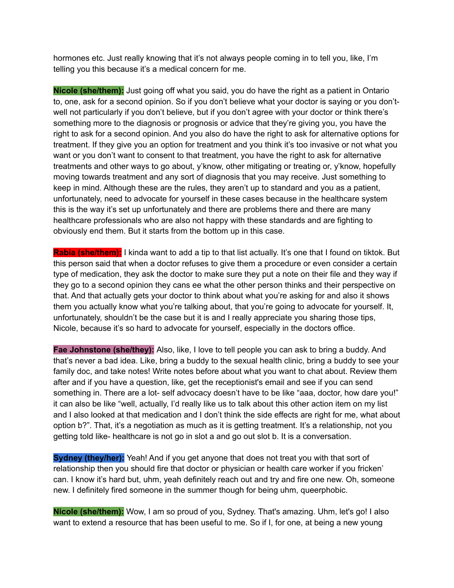hormones etc. Just really knowing that it's not always people coming in to tell you, like, I'm telling you this because it's a medical concern for me.

**Nicole (she/them):** Just going off what you said, you do have the right as a patient in Ontario to, one, ask for a second opinion. So if you don't believe what your doctor is saying or you don'twell not particularly if you don't believe, but if you don't agree with your doctor or think there's something more to the diagnosis or prognosis or advice that they're giving you, you have the right to ask for a second opinion. And you also do have the right to ask for alternative options for treatment. If they give you an option for treatment and you think it's too invasive or not what you want or you don't want to consent to that treatment, you have the right to ask for alternative treatments and other ways to go about, y'know, other mitigating or treating or, y'know, hopefully moving towards treatment and any sort of diagnosis that you may receive. Just something to keep in mind. Although these are the rules, they aren't up to standard and you as a patient, unfortunately, need to advocate for yourself in these cases because in the healthcare system this is the way it's set up unfortunately and there are problems there and there are many healthcare professionals who are also not happy with these standards and are fighting to obviously end them. But it starts from the bottom up in this case.

**Rabia (she/them):** I kinda want to add a tip to that list actually. It's one that I found on tiktok. But this person said that when a doctor refuses to give them a procedure or even consider a certain type of medication, they ask the doctor to make sure they put a note on their file and they way if they go to a second opinion they cans ee what the other person thinks and their perspective on that. And that actually gets your doctor to think about what you're asking for and also it shows them you actually know what you're talking about, that you're going to advocate for yourself. It, unfortunately, shouldn't be the case but it is and I really appreciate you sharing those tips, Nicole, because it's so hard to advocate for yourself, especially in the doctors office.

**Fae Johnstone (she/they):** Also, like, I love to tell people you can ask to bring a buddy. And that's never a bad idea. Like, bring a buddy to the sexual health clinic, bring a buddy to see your family doc, and take notes! Write notes before about what you want to chat about. Review them after and if you have a question, like, get the receptionist's email and see if you can send something in. There are a lot- self advocacy doesn't have to be like "aaa, doctor, how dare you!" it can also be like "well, actually, I'd really like us to talk about this other action item on my list and I also looked at that medication and I don't think the side effects are right for me, what about option b?". That, it's a negotiation as much as it is getting treatment. It's a relationship, not you getting told like- healthcare is not go in slot a and go out slot b. It is a conversation.

**Sydney (they/her):** Yeah! And if you get anyone that does not treat you with that sort of relationship then you should fire that doctor or physician or health care worker if you fricken' can. I know it's hard but, uhm, yeah definitely reach out and try and fire one new. Oh, someone new. I definitely fired someone in the summer though for being uhm, queerphobic.

**Nicole (she/them):** Wow, I am so proud of you, Sydney. That's amazing. Uhm, let's go! I also want to extend a resource that has been useful to me. So if I, for one, at being a new young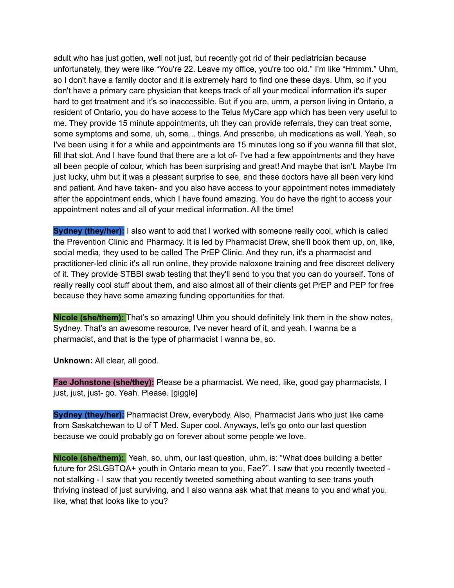adult who has just gotten, well not just, but recently got rid of their pediatrician because unfortunately, they were like "You're 22. Leave my office, you're too old." I'm like "Hmmm." Uhm, so I don't have a family doctor and it is extremely hard to find one these days. Uhm, so if you don't have a primary care physician that keeps track of all your medical information it's super hard to get treatment and it's so inaccessible. But if you are, umm, a person living in Ontario, a resident of Ontario, you do have access to the Telus MyCare app which has been very useful to me. They provide 15 minute appointments, uh they can provide referrals, they can treat some, some symptoms and some, uh, some... things. And prescribe, uh medications as well. Yeah, so I've been using it for a while and appointments are 15 minutes long so if you wanna fill that slot, fill that slot. And I have found that there are a lot of- I've had a few appointments and they have all been people of colour, which has been surprising and great! And maybe that isn't. Maybe I'm just lucky, uhm but it was a pleasant surprise to see, and these doctors have all been very kind and patient. And have taken- and you also have access to your appointment notes immediately after the appointment ends, which I have found amazing. You do have the right to access your appointment notes and all of your medical information. All the time!

**Sydney (they/her):** I also want to add that I worked with someone really cool, which is called the Prevention Clinic and Pharmacy. It is led by Pharmacist Drew, she'll book them up, on, like, social media, they used to be called The PrEP Clinic. And they run, it's a pharmacist and practitioner-led clinic it's all run online, they provide naloxone training and free discreet delivery of it. They provide STBBI swab testing that they'll send to you that you can do yourself. Tons of really really cool stuff about them, and also almost all of their clients get PrEP and PEP for free because they have some amazing funding opportunities for that.

**Nicole (she/them):** That's so amazing! Uhm you should definitely link them in the show notes, Sydney. That's an awesome resource, I've never heard of it, and yeah. I wanna be a pharmacist, and that is the type of pharmacist I wanna be, so.

**Unknown:** All clear, all good.

**Fae Johnstone (she/they):** Please be a pharmacist. We need, like, good gay pharmacists, I just, just, just- go. Yeah. Please. [giggle]

**Sydney (they/her):** Pharmacist Drew, everybody. Also, Pharmacist Jaris who just like came from Saskatchewan to U of T Med. Super cool. Anyways, let's go onto our last question because we could probably go on forever about some people we love.

**Nicole (she/them):** Yeah, so, uhm, our last question, uhm, is: "What does building a better future for 2SLGBTQA+ youth in Ontario mean to you, Fae?". I saw that you recently tweeted not stalking - I saw that you recently tweeted something about wanting to see trans youth thriving instead of just surviving, and I also wanna ask what that means to you and what you, like, what that looks like to you?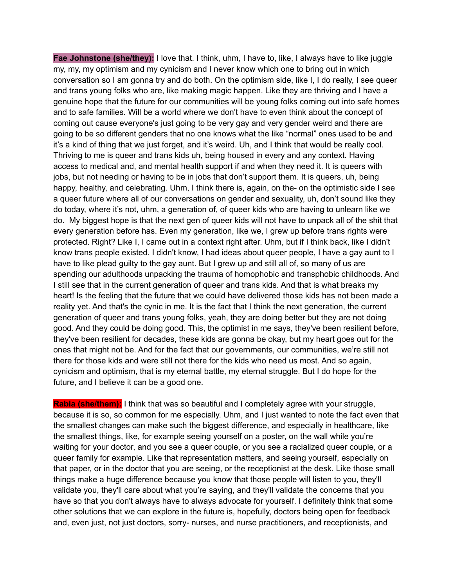**Fae Johnstone (she/they):** I love that. I think, uhm, I have to, like, I always have to like juggle my, my, my optimism and my cynicism and I never know which one to bring out in which conversation so I am gonna try and do both. On the optimism side, like I, I do really, I see queer and trans young folks who are, like making magic happen. Like they are thriving and I have a genuine hope that the future for our communities will be young folks coming out into safe homes and to safe families. Will be a world where we don't have to even think about the concept of coming out cause everyone's just going to be very gay and very gender weird and there are going to be so different genders that no one knows what the like "normal" ones used to be and it's a kind of thing that we just forget, and it's weird. Uh, and I think that would be really cool. Thriving to me is queer and trans kids uh, being housed in every and any context. Having access to medical and, and mental health support if and when they need it. It is queers with jobs, but not needing or having to be in jobs that don't support them. It is queers, uh, being happy, healthy, and celebrating. Uhm, I think there is, again, on the- on the optimistic side I see a queer future where all of our conversations on gender and sexuality, uh, don't sound like they do today, where it's not, uhm, a generation of, of queer kids who are having to unlearn like we do. My biggest hope is that the next gen of queer kids will not have to unpack all of the shit that every generation before has. Even my generation, like we, I grew up before trans rights were protected. Right? Like I, I came out in a context right after. Uhm, but if I think back, like I didn't know trans people existed. I didn't know, I had ideas about queer people, I have a gay aunt to I have to like plead quilty to the gay aunt. But I grew up and still all of, so many of us are spending our adulthoods unpacking the trauma of homophobic and transphobic childhoods. And I still see that in the current generation of queer and trans kids. And that is what breaks my heart! Is the feeling that the future that we could have delivered those kids has not been made a reality yet. And that's the cynic in me. It is the fact that I think the next generation, the current generation of queer and trans young folks, yeah, they are doing better but they are not doing good. And they could be doing good. This, the optimist in me says, they've been resilient before, they've been resilient for decades, these kids are gonna be okay, but my heart goes out for the ones that might not be. And for the fact that our governments, our communities, we're still not there for those kids and were still not there for the kids who need us most. And so again, cynicism and optimism, that is my eternal battle, my eternal struggle. But I do hope for the future, and I believe it can be a good one.

**Rabia (she/them):** I think that was so beautiful and I completely agree with your struggle, because it is so, so common for me especially. Uhm, and I just wanted to note the fact even that the smallest changes can make such the biggest difference, and especially in healthcare, like the smallest things, like, for example seeing yourself on a poster, on the wall while you're waiting for your doctor, and you see a queer couple, or you see a racialized queer couple, or a queer family for example. Like that representation matters, and seeing yourself, especially on that paper, or in the doctor that you are seeing, or the receptionist at the desk. Like those small things make a huge difference because you know that those people will listen to you, they'll validate you, they'll care about what you're saying, and they'll validate the concerns that you have so that you don't always have to always advocate for yourself. I definitely think that some other solutions that we can explore in the future is, hopefully, doctors being open for feedback and, even just, not just doctors, sorry- nurses, and nurse practitioners, and receptionists, and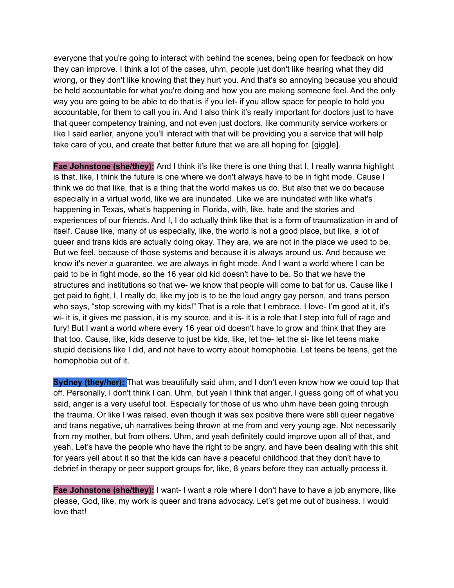everyone that you're going to interact with behind the scenes, being open for feedback on how they can improve. I think a lot of the cases, uhm, people just don't like hearing what they did wrong, or they don't like knowing that they hurt you. And that's so annoying because you should be held accountable for what you're doing and how you are making someone feel. And the only way you are going to be able to do that is if you let- if you allow space for people to hold you accountable, for them to call you in. And I also think it's really important for doctors just to have that queer competency training, and not even just doctors, like community service workers or like I said earlier, anyone you'll interact with that will be providing you a service that will help take care of you, and create that better future that we are all hoping for. [giggle].

**Fae Johnstone (she/they):** And I think it's like there is one thing that I, I really wanna highlight is that, like, I think the future is one where we don't always have to be in fight mode. Cause I think we do that like, that is a thing that the world makes us do. But also that we do because especially in a virtual world, like we are inundated. Like we are inundated with like what's happening in Texas, what's happening in Florida, with, like, hate and the stories and experiences of our friends. And I, I do actually think like that is a form of traumatization in and of itself. Cause like, many of us especially, like, the world is not a good place, but like, a lot of queer and trans kids are actually doing okay. They are, we are not in the place we used to be. But we feel, because of those systems and because it is always around us. And because we know it's never a guarantee, we are always in fight mode. And I want a world where I can be paid to be in fight mode, so the 16 year old kid doesn't have to be. So that we have the structures and institutions so that we- we know that people will come to bat for us. Cause like I get paid to fight, I, I really do, like my job is to be the loud angry gay person, and trans person who says, "stop screwing with my kids!" That is a role that I embrace. I love- I'm good at it, it's wi- it is, it gives me passion, it is my source, and it is- it is a role that I step into full of rage and fury! But I want a world where every 16 year old doesn't have to grow and think that they are that too. Cause, like, kids deserve to just be kids, like, let the- let the si- like let teens make stupid decisions like I did, and not have to worry about homophobia. Let teens be teens, get the homophobia out of it.

**Sydney (they/her):** That was beautifully said uhm, and I don't even know how we could top that off. Personally, I don't think I can. Uhm, but yeah I think that anger, I guess going off of what you said, anger is a very useful tool. Especially for those of us who uhm have been going through the trauma. Or like I was raised, even though it was sex positive there were still queer negative and trans negative, uh narratives being thrown at me from and very young age. Not necessarily from my mother, but from others. Uhm, and yeah definitely could improve upon all of that, and yeah. Let's have the people who have the right to be angry, and have been dealing with this shit for years yell about it so that the kids can have a peaceful childhood that they don't have to debrief in therapy or peer support groups for, like, 8 years before they can actually process it.

**Fae Johnstone (she/they):** I want- I want a role where I don't have to have a job anymore, like please, God, like, my work is queer and trans advocacy. Let's get me out of business. I would love that!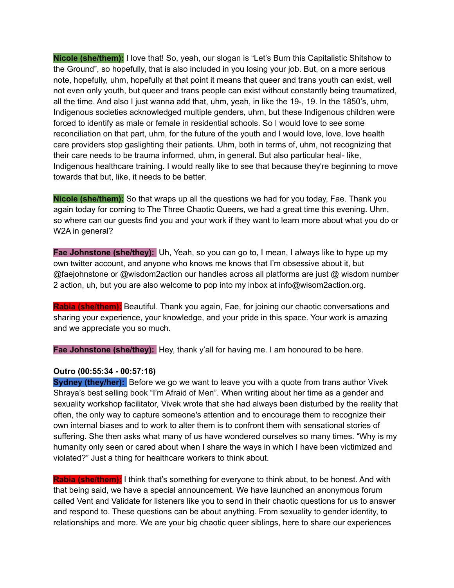**Nicole (she/them):** I love that! So, yeah, our slogan is "Let's Burn this Capitalistic Shitshow to the Ground", so hopefully, that is also included in you losing your job. But, on a more serious note, hopefully, uhm, hopefully at that point it means that queer and trans youth can exist, well not even only youth, but queer and trans people can exist without constantly being traumatized, all the time. And also I just wanna add that, uhm, yeah, in like the 19-, 19. In the 1850's, uhm, Indigenous societies acknowledged multiple genders, uhm, but these Indigenous children were forced to identify as male or female in residential schools. So I would love to see some reconciliation on that part, uhm, for the future of the youth and I would love, love, love health care providers stop gaslighting their patients. Uhm, both in terms of, uhm, not recognizing that their care needs to be trauma informed, uhm, in general. But also particular heal- like, Indigenous healthcare training. I would really like to see that because they're beginning to move towards that but, like, it needs to be better.

**Nicole (she/them):** So that wraps up all the questions we had for you today, Fae. Thank you again today for coming to The Three Chaotic Queers, we had a great time this evening. Uhm, so where can our guests find you and your work if they want to learn more about what you do or W2A in general?

**Fae Johnstone (she/they):** Uh, Yeah, so you can go to, I mean, I always like to hype up my own twitter account, and anyone who knows me knows that I'm obsessive about it, but @faejohnstone or @wisdom2action our handles across all platforms are just @ wisdom number 2 action, uh, but you are also welcome to pop into my inbox at info@wisom2action.org.

**Rabia (she/them):** Beautiful. Thank you again, Fae, for joining our chaotic conversations and sharing your experience, your knowledge, and your pride in this space. Your work is amazing and we appreciate you so much.

**Fae Johnstone (she/they):** Hey, thank y'all for having me. I am honoured to be here.

### **Outro (00:55:34 - 00:57:16)**

**Sydney (they/her):** Before we go we want to leave you with a quote from trans author Vivek Shraya's best selling book "I'm Afraid of Men". When writing about her time as a gender and sexuality workshop facilitator, Vivek wrote that she had always been disturbed by the reality that often, the only way to capture someone's attention and to encourage them to recognize their own internal biases and to work to alter them is to confront them with sensational stories of suffering. She then asks what many of us have wondered ourselves so many times. "Why is my humanity only seen or cared about when I share the ways in which I have been victimized and violated?" Just a thing for healthcare workers to think about.

**Rabia (she/them):** I think that's something for everyone to think about, to be honest. And with that being said, we have a special announcement. We have launched an anonymous forum called Vent and Validate for listeners like you to send in their chaotic questions for us to answer and respond to. These questions can be about anything. From sexuality to gender identity, to relationships and more. We are your big chaotic queer siblings, here to share our experiences